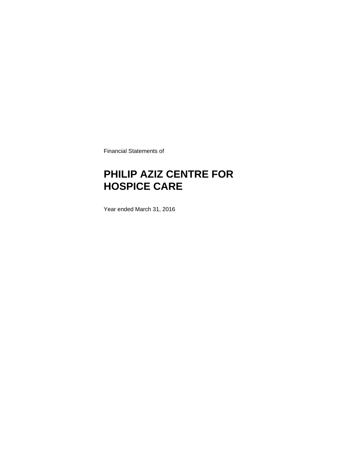Financial Statements of

# **PHILIP AZIZ CENTRE FOR HOSPICE CARE**

Year ended March 31, 2016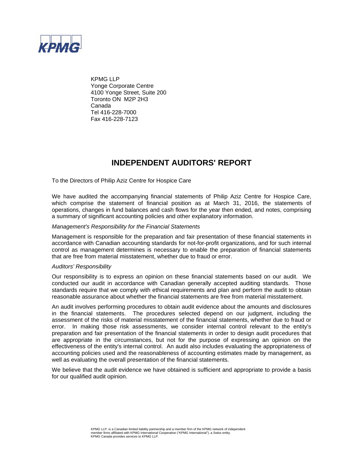

KPMG LLP Yonge Corporate Centre 4100 Yonge Street, Suite 200 Toronto ON M2P 2H3 Canada Tel 416-228-7000 Fax 416-228-7123

# **INDEPENDENT AUDITORS' REPORT**

To the Directors of Philip Aziz Centre for Hospice Care

We have audited the accompanying financial statements of Philip Aziz Centre for Hospice Care, which comprise the statement of financial position as at March 31, 2016, the statements of operations, changes in fund balances and cash flows for the year then ended, and notes, comprising a summary of significant accounting policies and other explanatory information.

#### *Management's Responsibility for the Financial Statements*

Management is responsible for the preparation and fair presentation of these financial statements in accordance with Canadian accounting standards for not-for-profit organizations, and for such internal control as management determines is necessary to enable the preparation of financial statements that are free from material misstatement, whether due to fraud or error.

#### *Auditors' Responsibility*

Our responsibility is to express an opinion on these financial statements based on our audit. We conducted our audit in accordance with Canadian generally accepted auditing standards. Those standards require that we comply with ethical requirements and plan and perform the audit to obtain reasonable assurance about whether the financial statements are free from material misstatement.

An audit involves performing procedures to obtain audit evidence about the amounts and disclosures in the financial statements. The procedures selected depend on our judgment, including the assessment of the risks of material misstatement of the financial statements, whether due to fraud or error. In making those risk assessments, we consider internal control relevant to the entity's preparation and fair presentation of the financial statements in order to design audit procedures that are appropriate in the circumstances, but not for the purpose of expressing an opinion on the effectiveness of the entity's internal control. An audit also includes evaluating the appropriateness of accounting policies used and the reasonableness of accounting estimates made by management, as well as evaluating the overall presentation of the financial statements.

We believe that the audit evidence we have obtained is sufficient and appropriate to provide a basis for our qualified audit opinion.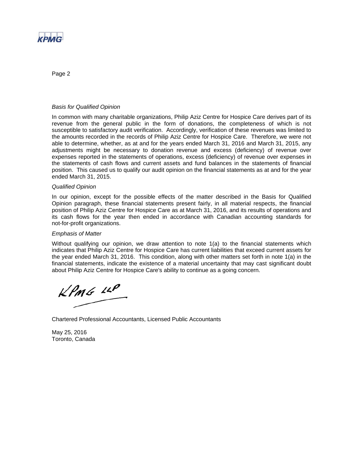

Page 2

#### *Basis for Qualified Opinion*

In common with many charitable organizations, Philip Aziz Centre for Hospice Care derives part of its revenue from the general public in the form of donations, the completeness of which is not susceptible to satisfactory audit verification. Accordingly, verification of these revenues was limited to the amounts recorded in the records of Philip Aziz Centre for Hospice Care. Therefore, we were not able to determine, whether, as at and for the years ended March 31, 2016 and March 31, 2015, any adjustments might be necessary to donation revenue and excess (deficiency) of revenue over expenses reported in the statements of operations, excess (deficiency) of revenue over expenses in the statements of cash flows and current assets and fund balances in the statements of financial position. This caused us to qualify our audit opinion on the financial statements as at and for the year ended March 31, 2015.

#### *Qualified Opinion*

In our opinion, except for the possible effects of the matter described in the Basis for Qualified Opinion paragraph, these financial statements present fairly, in all material respects, the financial position of Philip Aziz Centre for Hospice Care as at March 31, 2016, and its results of operations and its cash flows for the year then ended in accordance with Canadian accounting standards for not-for-profit organizations.

#### *Emphasis of Matter*

Without qualifying our opinion, we draw attention to note 1(a) to the financial statements which indicates that Philip Aziz Centre for Hospice Care has current liabilities that exceed current assets for the year ended March 31, 2016. This condition, along with other matters set forth in note 1(a) in the financial statements, indicate the existence of a material uncertainty that may cast significant doubt about Philip Aziz Centre for Hospice Care's ability to continue as a going concern.

 $KPMG$  14P

Chartered Professional Accountants, Licensed Public Accountants

May 25, 2016 Toronto, Canada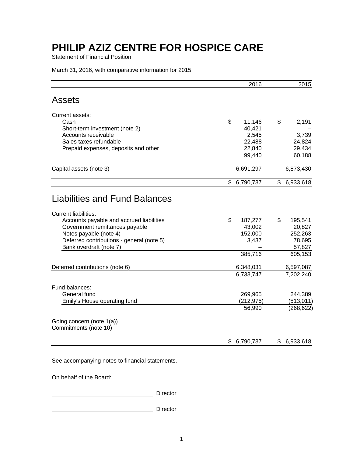Statement of Financial Position

March 31, 2016, with comparative information for 2015

|                                                                                                                                                                                                             | 2016                                        | 2015                                                   |
|-------------------------------------------------------------------------------------------------------------------------------------------------------------------------------------------------------------|---------------------------------------------|--------------------------------------------------------|
| <b>Assets</b>                                                                                                                                                                                               |                                             |                                                        |
| Current assets:                                                                                                                                                                                             |                                             |                                                        |
| Cash                                                                                                                                                                                                        | \$<br>11,146                                | \$<br>2,191                                            |
| Short-term investment (note 2)                                                                                                                                                                              | 40,421                                      |                                                        |
| Accounts receivable                                                                                                                                                                                         | 2,545                                       | 3,739                                                  |
| Sales taxes refundable                                                                                                                                                                                      | 22,488                                      | 24,824                                                 |
| Prepaid expenses, deposits and other                                                                                                                                                                        | 22,840                                      | 29,434                                                 |
|                                                                                                                                                                                                             | 99,440                                      | 60,188                                                 |
| Capital assets (note 3)                                                                                                                                                                                     | 6,691,297                                   | 6,873,430                                              |
|                                                                                                                                                                                                             | \$<br>6,790,737                             | \$6,933,618                                            |
| <b>Current liabilities:</b><br>Accounts payable and accrued liabilities<br>Government remittances payable<br>Notes payable (note 4)<br>Deferred contributions - general (note 5)<br>Bank overdraft (note 7) | \$<br>187,277<br>43,002<br>152,000<br>3,437 | \$<br>195,541<br>20,827<br>252,263<br>78,695<br>57,827 |
|                                                                                                                                                                                                             | 385,716                                     | 605,153                                                |
| Deferred contributions (note 6)                                                                                                                                                                             | 6,348,031                                   | 6,597,087                                              |
|                                                                                                                                                                                                             | 6,733,747                                   | 7,202,240                                              |
| Fund balances:                                                                                                                                                                                              |                                             |                                                        |
| General fund                                                                                                                                                                                                | 269,965                                     | 244,389                                                |
| Emily's House operating fund                                                                                                                                                                                | (212, 975)                                  | (513, 011)                                             |
|                                                                                                                                                                                                             | 56,990                                      | (268, 622)                                             |
| Going concern (note 1(a))<br>Commitments (note 10)                                                                                                                                                          |                                             |                                                        |
|                                                                                                                                                                                                             | \$6,790,737                                 | \$6,933,618                                            |

See accompanying notes to financial statements.

On behalf of the Board:

Director

Director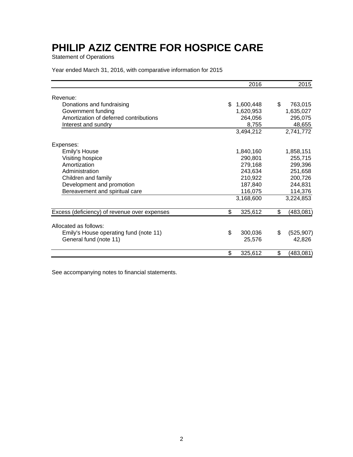Statement of Operations

Year ended March 31, 2016, with comparative information for 2015

|                                              | 2016            | 2015             |
|----------------------------------------------|-----------------|------------------|
| Revenue:                                     |                 |                  |
| Donations and fundraising                    | \$<br>1,600,448 | \$<br>763,015    |
| Government funding                           | 1,620,953       | 1,635,027        |
| Amortization of deferred contributions       | 264,056         | 295,075          |
| Interest and sundry                          | 8,755           | 48,655           |
|                                              | 3,494,212       | 2,741,772        |
| Expenses:                                    |                 |                  |
| Emily's House                                | 1,840,160       | 1,858,151        |
| Visiting hospice                             | 290,801         | 255,715          |
| Amortization                                 | 279,168         | 299,396          |
| Administration                               | 243,634         | 251,658          |
| Children and family                          | 210,922         | 200,726          |
| Development and promotion                    | 187,840         | 244,831          |
| Bereavement and spiritual care               | 116,075         | 114,376          |
|                                              | 3,168,600       | 3,224,853        |
| Excess (deficiency) of revenue over expenses | \$<br>325,612   | \$<br>(483, 081) |
|                                              |                 |                  |
| Allocated as follows:                        |                 |                  |
| Emily's House operating fund (note 11)       | \$<br>300,036   | \$<br>(525, 907) |
| General fund (note 11)                       | 25,576          | 42,826           |
|                                              | \$<br>325,612   | \$<br>(483, 081) |

See accompanying notes to financial statements.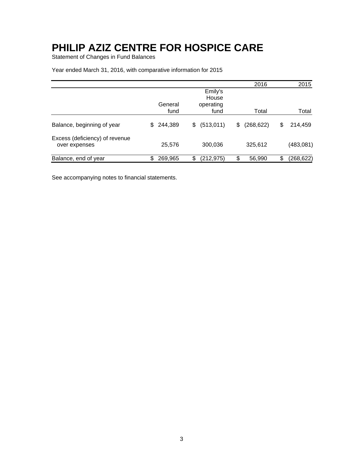Statement of Changes in Fund Balances

# Year ended March 31, 2016, with comparative information for 2015

|                                                 |                |                  | 2016             |    | 2015       |
|-------------------------------------------------|----------------|------------------|------------------|----|------------|
|                                                 |                | Emily's          |                  |    |            |
|                                                 |                | House            |                  |    |            |
|                                                 | General        | operating        |                  |    |            |
|                                                 | fund           | fund             | Total            |    | Total      |
| Balance, beginning of year                      | 244,389<br>SS. | (513, 011)<br>\$ | (268, 622)<br>\$ | S  | 214,459    |
| Excess (deficiency) of revenue<br>over expenses | 25,576         | 300,036          | 325,612          |    | (483,081)  |
| Balance, end of year                            | S<br>269,965   | \$<br>(212,975)  | 56,990           | \$ | (268, 622) |

See accompanying notes to financial statements.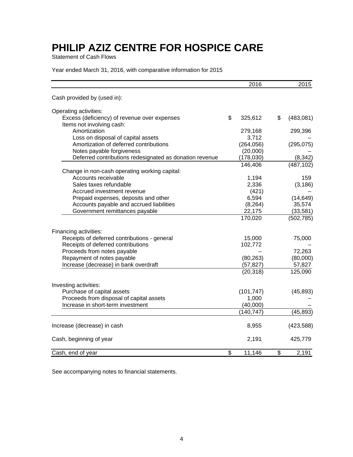Statement of Cash Flows

Year ended March 31, 2016, with comparative information for 2015

|                                                         | 2016          | 2015            |
|---------------------------------------------------------|---------------|-----------------|
| Cash provided by (used in):                             |               |                 |
| Operating activities:                                   |               |                 |
| Excess (deficiency) of revenue over expenses            | \$<br>325,612 | \$<br>(483,081) |
| Items not involving cash:                               |               |                 |
| Amortization                                            | 279,168       | 299,396         |
| Loss on disposal of capital assets                      | 3,712         |                 |
| Amortization of deferred contributions                  | (264, 056)    | (295, 075)      |
| Notes payable forgiveness                               | (20,000)      |                 |
| Deferred contributions redesignated as donation revenue | (178, 030)    | (8, 342)        |
|                                                         | 146,406       | (487, 102)      |
| Change in non-cash operating working capital:           |               |                 |
| Accounts receivable                                     | 1,194         | 159             |
| Sales taxes refundable                                  | 2,336         | (3, 186)        |
| Accrued investment revenue                              | (421)         |                 |
| Prepaid expenses, deposits and other                    | 6,594         | (14, 649)       |
| Accounts payable and accrued liabilities                | (8, 264)      | 35,574          |
| Government remittances payable                          | 22,175        | (33, 581)       |
|                                                         | 170,020       | (502, 785)      |
| Financing activities:                                   |               |                 |
| Receipts of deferred contributions - general            | 15,000        | 75,000          |
| Receipts of deferred contributions                      | 102,772       |                 |
| Proceeds from notes payable                             |               | 72,263          |
| Repayment of notes payable                              | (80, 263)     | (80,000)        |
| Increase (decrease) in bank overdraft                   | (57, 827)     | 57,827          |
|                                                         | (20, 318)     | 125,090         |
| Investing activities:                                   |               |                 |
| Purchase of capital assets                              | (101, 747)    | (45, 893)       |
| Proceeds from disposal of capital assets                | 1,000         |                 |
| Increase in short-term investment                       | (40,000)      |                 |
|                                                         | (140, 747)    | (45, 893)       |
| Increase (decrease) in cash                             | 8,955         | (423, 588)      |
| Cash, beginning of year                                 | 2,191         | 425,779         |
| Cash, end of year                                       | \$<br>11,146  | \$<br>2,191     |

See accompanying notes to financial statements.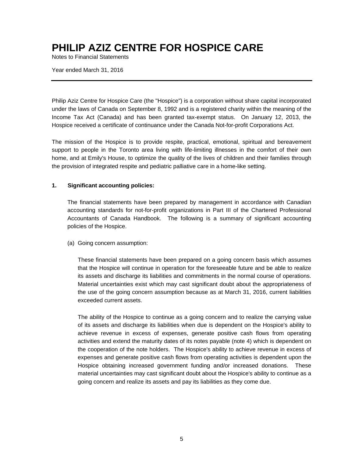Notes to Financial Statements

Year ended March 31, 2016

Philip Aziz Centre for Hospice Care (the "Hospice") is a corporation without share capital incorporated under the laws of Canada on September 8, 1992 and is a registered charity within the meaning of the Income Tax Act (Canada) and has been granted tax-exempt status. On January 12, 2013, the Hospice received a certificate of continuance under the Canada Not-for-profit Corporations Act.

The mission of the Hospice is to provide respite, practical, emotional, spiritual and bereavement support to people in the Toronto area living with life-limiting illnesses in the comfort of their own home, and at Emily's House, to optimize the quality of the lives of children and their families through the provision of integrated respite and pediatric palliative care in a home-like setting.

### **1. Significant accounting policies:**

The financial statements have been prepared by management in accordance with Canadian accounting standards for not-for-profit organizations in Part III of the Chartered Professional Accountants of Canada Handbook. The following is a summary of significant accounting policies of the Hospice.

(a) Going concern assumption:

These financial statements have been prepared on a going concern basis which assumes that the Hospice will continue in operation for the foreseeable future and be able to realize its assets and discharge its liabilities and commitments in the normal course of operations. Material uncertainties exist which may cast significant doubt about the appropriateness of the use of the going concern assumption because as at March 31, 2016, current liabilities exceeded current assets.

The ability of the Hospice to continue as a going concern and to realize the carrying value of its assets and discharge its liabilities when due is dependent on the Hospice's ability to achieve revenue in excess of expenses, generate positive cash flows from operating activities and extend the maturity dates of its notes payable (note 4) which is dependent on the cooperation of the note holders. The Hospice's ability to achieve revenue in excess of expenses and generate positive cash flows from operating activities is dependent upon the Hospice obtaining increased government funding and/or increased donations. These material uncertainties may cast significant doubt about the Hospice's ability to continue as a going concern and realize its assets and pay its liabilities as they come due.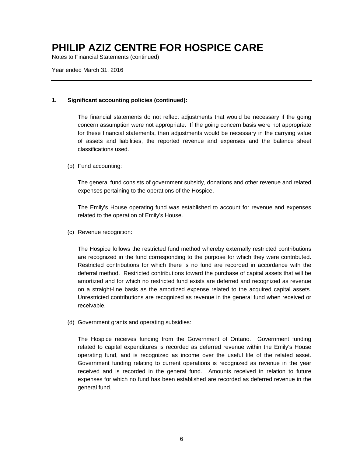Notes to Financial Statements (continued)

Year ended March 31, 2016

#### **1. Significant accounting policies (continued):**

The financial statements do not reflect adjustments that would be necessary if the going concern assumption were not appropriate. If the going concern basis were not appropriate for these financial statements, then adjustments would be necessary in the carrying value of assets and liabilities, the reported revenue and expenses and the balance sheet classifications used.

### (b) Fund accounting:

The general fund consists of government subsidy, donations and other revenue and related expenses pertaining to the operations of the Hospice.

The Emily's House operating fund was established to account for revenue and expenses related to the operation of Emily's House.

(c) Revenue recognition:

The Hospice follows the restricted fund method whereby externally restricted contributions are recognized in the fund corresponding to the purpose for which they were contributed. Restricted contributions for which there is no fund are recorded in accordance with the deferral method. Restricted contributions toward the purchase of capital assets that will be amortized and for which no restricted fund exists are deferred and recognized as revenue on a straight-line basis as the amortized expense related to the acquired capital assets. Unrestricted contributions are recognized as revenue in the general fund when received or receivable.

(d) Government grants and operating subsidies:

The Hospice receives funding from the Government of Ontario. Government funding related to capital expenditures is recorded as deferred revenue within the Emily's House operating fund, and is recognized as income over the useful life of the related asset. Government funding relating to current operations is recognized as revenue in the year received and is recorded in the general fund. Amounts received in relation to future expenses for which no fund has been established are recorded as deferred revenue in the general fund.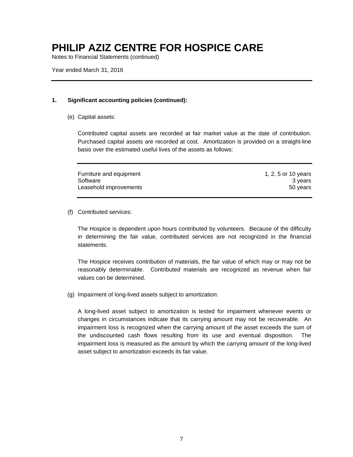Notes to Financial Statements (continued)

Year ended March 31, 2016

#### **1. Significant accounting policies (continued):**

(e) Capital assets:

Contributed capital assets are recorded at fair market value at the date of contribution. Purchased capital assets are recorded at cost. Amortization is provided on a straight-line basis over the estimated useful lives of the assets as follows:

| Furniture and equipment | 1, 2, 5 or 10 years |
|-------------------------|---------------------|
| Software                | 3 years             |
| Leasehold improvements  | 50 years            |

(f) Contributed services:

The Hospice is dependent upon hours contributed by volunteers. Because of the difficulty in determining the fair value, contributed services are not recognized in the financial statements.

The Hospice receives contribution of materials, the fair value of which may or may not be reasonably determinable. Contributed materials are recognized as revenue when fair values can be determined.

(g) Impairment of long-lived assets subject to amortization:

A long-lived asset subject to amortization is tested for impairment whenever events or changes in circumstances indicate that its carrying amount may not be recoverable. An impairment loss is recognized when the carrying amount of the asset exceeds the sum of the undiscounted cash flows resulting from its use and eventual disposition. The impairment loss is measured as the amount by which the carrying amount of the long-lived asset subject to amortization exceeds its fair value.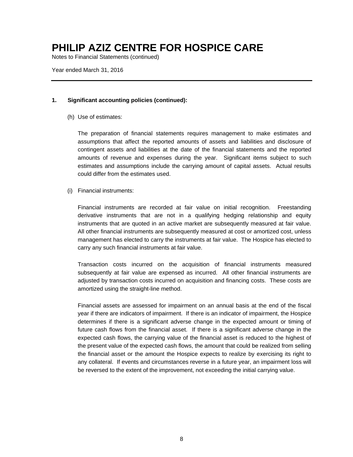Notes to Financial Statements (continued)

Year ended March 31, 2016

#### **1. Significant accounting policies (continued):**

(h) Use of estimates:

The preparation of financial statements requires management to make estimates and assumptions that affect the reported amounts of assets and liabilities and disclosure of contingent assets and liabilities at the date of the financial statements and the reported amounts of revenue and expenses during the year. Significant items subject to such estimates and assumptions include the carrying amount of capital assets. Actual results could differ from the estimates used.

(i) Financial instruments:

Financial instruments are recorded at fair value on initial recognition. Freestanding derivative instruments that are not in a qualifying hedging relationship and equity instruments that are quoted in an active market are subsequently measured at fair value. All other financial instruments are subsequently measured at cost or amortized cost, unless management has elected to carry the instruments at fair value. The Hospice has elected to carry any such financial instruments at fair value.

Transaction costs incurred on the acquisition of financial instruments measured subsequently at fair value are expensed as incurred. All other financial instruments are adjusted by transaction costs incurred on acquisition and financing costs. These costs are amortized using the straight-line method.

Financial assets are assessed for impairment on an annual basis at the end of the fiscal year if there are indicators of impairment. If there is an indicator of impairment, the Hospice determines if there is a significant adverse change in the expected amount or timing of future cash flows from the financial asset. If there is a significant adverse change in the expected cash flows, the carrying value of the financial asset is reduced to the highest of the present value of the expected cash flows, the amount that could be realized from selling the financial asset or the amount the Hospice expects to realize by exercising its right to any collateral. If events and circumstances reverse in a future year, an impairment loss will be reversed to the extent of the improvement, not exceeding the initial carrying value.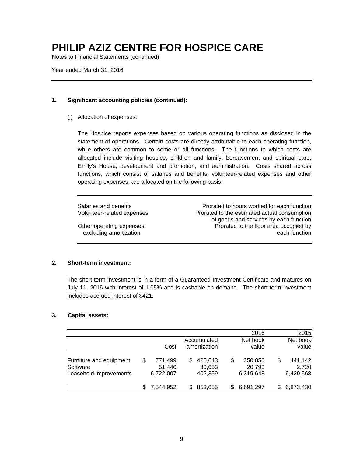Notes to Financial Statements (continued)

Year ended March 31, 2016

### **1. Significant accounting policies (continued):**

(j) Allocation of expenses:

The Hospice reports expenses based on various operating functions as disclosed in the statement of operations. Certain costs are directly attributable to each operating function, while others are common to some or all functions. The functions to which costs are allocated include visiting hospice, children and family, bereavement and spiritual care, Emily's House, development and promotion, and administration. Costs shared across functions, which consist of salaries and benefits, volunteer-related expenses and other operating expenses, are allocated on the following basis:

Salaries and benefits Prorated to hours worked for each function Volunteer-related expenses Prorated to the estimated actual consumption of goods and services by each function Other operating expenses, **Provided** by **Provided** to the floor area occupied by excluding amortization each function each function each function

### **2. Short-term investment:**

The short-term investment is in a form of a Guaranteed Investment Certificate and matures on July 11, 2016 with interest of 1.05% and is cashable on demand. The short-term investment includes accrued interest of \$421.

#### **3. Capital assets:**

|                                                               |                                      |                                     |    | 2016                           | 2015                                |
|---------------------------------------------------------------|--------------------------------------|-------------------------------------|----|--------------------------------|-------------------------------------|
|                                                               |                                      | Accumulated                         |    | Net book                       | Net book                            |
|                                                               | Cost                                 | amortization                        |    | value                          | value                               |
| Furniture and equipment<br>Software<br>Leasehold improvements | \$<br>771.499<br>51,446<br>6,722,007 | 420.643<br>\$.<br>30,653<br>402,359 | \$ | 350,856<br>20,793<br>6,319,648 | \$<br>441,142<br>2,720<br>6,429,568 |
|                                                               | 7.544.952                            | 853,655                             | S  | 6,691,297                      | 6,873,430                           |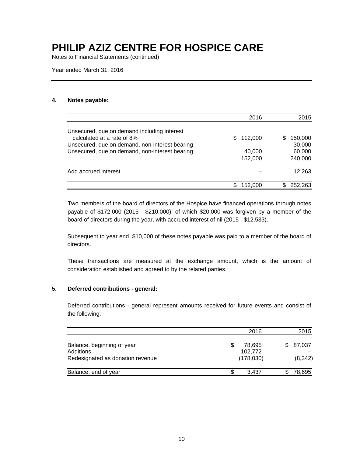Notes to Financial Statements (continued)

Year ended March 31, 2016

### **4. Notes payable:**

|                                                | 2016    | 2015    |
|------------------------------------------------|---------|---------|
|                                                |         |         |
| Unsecured, due on demand including interest    |         |         |
| calculated at a rate of 8%                     | 112,000 | 150,000 |
| Unsecured, due on demand, non-interest bearing |         | 30,000  |
| Unsecured, due on demand, non-interest bearing | 40,000  | 60,000  |
|                                                | 152,000 | 240,000 |
|                                                |         |         |
| Add accrued interest                           |         | 12,263  |
|                                                | 152,000 | 252,263 |
|                                                |         |         |

Two members of the board of directors of the Hospice have financed operations through notes payable of \$172,000 (2015 - \$210,000), of which \$20,000 was forgiven by a member of the board of directors during the year, with accrued interest of nil (2015 - \$12,533).

Subsequent to year end, \$10,000 of these notes payable was paid to a member of the board of directors.

These transactions are measured at the exchange amount, which is the amount of consideration established and agreed to by the related parties.

### **5. Deferred contributions - general:**

Deferred contributions - general represent amounts received for future events and consist of the following:

| 2016                           | 2015               |
|--------------------------------|--------------------|
|                                |                    |
| 78,695<br>102,772<br>(178,030) | 87,037<br>(8, 342) |
| 3.437                          | 78,695             |
|                                | \$.                |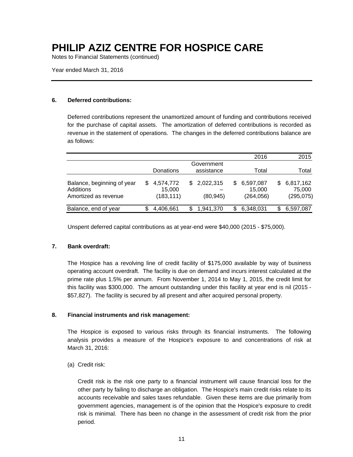Notes to Financial Statements (continued)

Year ended March 31, 2016

#### **6. Deferred contributions:**

Deferred contributions represent the unamortized amount of funding and contributions received for the purchase of capital assets. The amortization of deferred contributions is recorded as revenue in the statement of operations. The changes in the deferred contributions balance are as follows:

|                                                                 |     |                                   |                          |   | 2016                              |    | 2015                              |
|-----------------------------------------------------------------|-----|-----------------------------------|--------------------------|---|-----------------------------------|----|-----------------------------------|
|                                                                 |     | Donations                         | Government<br>assistance |   | Total                             |    | Total                             |
| Balance, beginning of year<br>Additions<br>Amortized as revenue | SS. | 4,574,772<br>15,000<br>(183, 111) | \$2,022,315<br>(80,945)  | S | 6,597,087<br>15.000<br>(264, 056) | S. | 6,817,162<br>75,000<br>(295, 075) |
| Balance, end of year                                            |     | 4,406,661                         | 1,941,370                |   | 6,348,031                         |    | 6,597,087                         |

Unspent deferred capital contributions as at year-end were \$40,000 (2015 - \$75,000).

### **7. Bank overdraft:**

The Hospice has a revolving line of credit facility of \$175,000 available by way of business operating account overdraft. The facility is due on demand and incurs interest calculated at the prime rate plus 1.5% per annum. From November 1, 2014 to May 1, 2015, the credit limit for this facility was \$300,000. The amount outstanding under this facility at year end is nil (2015 - \$57,827). The facility is secured by all present and after acquired personal property.

### **8. Financial instruments and risk management:**

The Hospice is exposed to various risks through its financial instruments. The following analysis provides a measure of the Hospice's exposure to and concentrations of risk at March 31, 2016:

(a) Credit risk:

Credit risk is the risk one party to a financial instrument will cause financial loss for the other party by failing to discharge an obligation. The Hospice's main credit risks relate to its accounts receivable and sales taxes refundable. Given these items are due primarily from government agencies, management is of the opinion that the Hospice's exposure to credit risk is minimal. There has been no change in the assessment of credit risk from the prior period.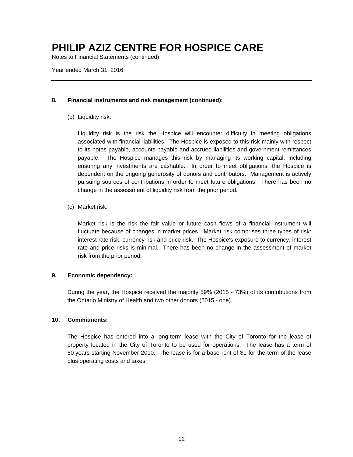Notes to Financial Statements (continued)

Year ended March 31, 2016

#### **8. Financial instruments and risk management (continued):**

(b) Liquidity risk:

Liquidity risk is the risk the Hospice will encounter difficulty in meeting obligations associated with financial liabilities. The Hospice is exposed to this risk mainly with respect to its notes payable, accounts payable and accrued liabilities and government remittances payable. The Hospice manages this risk by managing its working capital, including ensuring any investments are cashable. In order to meet obligations, the Hospice is dependent on the ongoing generosity of donors and contributors. Management is actively pursuing sources of contributions in order to meet future obligations. There has been no change in the assessment of liquidity risk from the prior period.

(c) Market risk:

Market risk is the risk the fair value or future cash flows of a financial instrument will fluctuate because of changes in market prices. Market risk comprises three types of risk: interest rate risk, currency risk and price risk. The Hospice's exposure to currency, interest rate and price risks is minimal. There has been no change in the assessment of market risk from the prior period.

#### **9. Economic dependency:**

During the year, the Hospice received the majority 59% (2015 - 73%) of its contributions from the Ontario Ministry of Health and two other donors (2015 - one).

#### **10. Commitments:**

The Hospice has entered into a long-term lease with the City of Toronto for the lease of property located in the City of Toronto to be used for operations. The lease has a term of 50 years starting November 2010. The lease is for a base rent of \$1 for the term of the lease plus operating costs and taxes.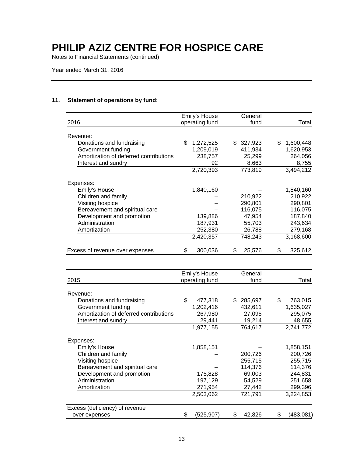Notes to Financial Statements (continued)

Year ended March 31, 2016

# **11. Statement of operations by fund:**

| 2016                                                                                                             | Emily's House<br>operating fund                            | General<br>fund                                    | Total                                                         |
|------------------------------------------------------------------------------------------------------------------|------------------------------------------------------------|----------------------------------------------------|---------------------------------------------------------------|
| Revenue:                                                                                                         |                                                            |                                                    |                                                               |
| Donations and fundraising<br>Government funding<br>Amortization of deferred contributions<br>Interest and sundry | \$<br>1,272,525<br>1,209,019<br>238,757<br>92<br>2,720,393 | \$327,923<br>411,934<br>25,299<br>8,663<br>773,819 | \$<br>1,600,448<br>1,620,953<br>264,056<br>8,755<br>3,494,212 |
| Expenses:                                                                                                        |                                                            |                                                    |                                                               |
| Emily's House<br>Children and family                                                                             | 1,840,160                                                  | 210,922                                            | 1,840,160<br>210,922                                          |
| Visiting hospice<br>Bereavement and spiritual care                                                               |                                                            | 290,801<br>116,075                                 | 290,801<br>116,075                                            |
| Development and promotion<br>Administration<br>Amortization                                                      | 139,886<br>187,931<br>252,380                              | 47,954<br>55,703<br>26,788                         | 187,840<br>243,634<br>279,168                                 |
|                                                                                                                  | 2,420,357                                                  | 748,243                                            | 3,168,600                                                     |
| Excess of revenue over expenses                                                                                  | \$<br>300,036                                              | \$<br>25,576                                       | \$<br>325,612                                                 |
|                                                                                                                  |                                                            |                                                    |                                                               |

|                                        | Emily's House    | General       |                 |
|----------------------------------------|------------------|---------------|-----------------|
| 2015                                   | operating fund   | fund          | Total           |
| Revenue:                               |                  |               |                 |
| Donations and fundraising              | \$<br>477,318    | 285,697<br>\$ | \$<br>763,015   |
| Government funding                     | 1,202,416        | 432,611       | 1,635,027       |
| Amortization of deferred contributions | 267,980          | 27,095        | 295,075         |
| Interest and sundry                    | 29,441           | 19,214        | 48,655          |
|                                        | 1,977,155        | 764,617       | 2,741,772       |
| Expenses:                              |                  |               |                 |
| Emily's House                          | 1,858,151        |               | 1,858,151       |
| Children and family                    |                  | 200,726       | 200,726         |
| Visiting hospice                       |                  | 255,715       | 255,715         |
| Bereavement and spiritual care         |                  | 114,376       | 114,376         |
| Development and promotion              | 175,828          | 69,003        | 244,831         |
| Administration                         | 197,129          | 54,529        | 251,658         |
| Amortization                           | 271,954          | 27,442        | 299,396         |
|                                        | 2,503,062        | 721,791       | 3,224,853       |
| Excess (deficiency) of revenue         |                  |               |                 |
| over expenses                          | \$<br>(525, 907) | \$<br>42,826  | \$<br>(483,081) |